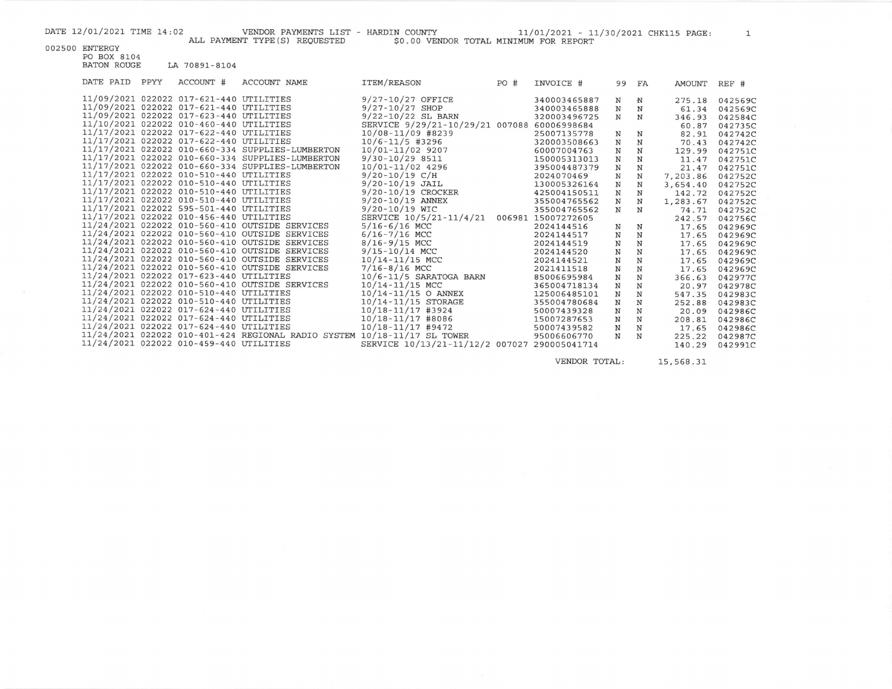DATE 12/01/2021 TIME 14:02 VENDOR PAYMENTS LIST - HARDIN COUNTY 11/01/2021 - 11/30/2021 CHK115 PAGE: 1<br>ALL PAYMENT TYPE(S) REQUESTED 50.00 VENDOR TOTAL MINIMUM FOR REPORT

002500 ENTERGY

PO BOX 8104 BATON ROUGE LA 70891-8104

| DATE PAID | PPYY | ACCOUNT #                               | ACCOUNT NAME                                                             | ITEM/REASON                                  | PO# | INVOICE #          | 99          | FA          | AMOUNT   | REF #   |
|-----------|------|-----------------------------------------|--------------------------------------------------------------------------|----------------------------------------------|-----|--------------------|-------------|-------------|----------|---------|
|           |      | 11/09/2021 022022 017-621-440 UTILITIES |                                                                          | $9/27 - 10/27$ OFFICE                        |     | 340003465887       | N           | $\mathbf N$ | 275.18   | 042569C |
|           |      | 11/09/2021 022022 017-621-440 UTILITIES |                                                                          | $9/27 - 10/27$ SHOP                          |     | 340003465888       | N           | N           | 61.34    | 042569C |
|           |      | 11/09/2021 022022 017-623-440 UTILITIES |                                                                          | $9/22 - 10/22$ SL BARN                       |     | 320003496725       | N           | N           | 346.93   | 042584C |
|           |      | 11/10/2021 022022 010-460-440 UTILITIES |                                                                          | SERVICE 9/29/21-10/29/21 007088 60006998684  |     |                    |             |             | 60.87    | 042735C |
|           |      | 11/17/2021 022022 017-622-440 UTILITIES |                                                                          | $10/08 - 11/09$ #8239                        |     | 25007135778        | N           | N           | 82.91    | 042742C |
|           |      | 11/17/2021 022022 017-622-440 UTILITIES |                                                                          | $10/6 - 11/5$ #3296                          |     | 320003508663       | N           | $_{\rm N}$  | 70.43    | 042742C |
|           |      |                                         | 11/17/2021 022022 010-660-334 SUPPLIES-LUMBERTON                         | 10/01-11/02 9207                             |     | 60007004763        | $\mathbf N$ | $\mathbf N$ | 129.99   | 042751C |
|           |      |                                         | 11/17/2021 022022 010-660-334 SUPPLIES-LUMBERTON                         | $9/30 - 10/298511$                           |     | 150005313013       | N           | N           | 11.47    | 042751C |
|           |      |                                         | 11/17/2021 022022 010-660-334 SUPPLIES-LUMBERTON                         | 10/01-11/02 4296                             |     | 395004487379       | N           | $\mathbf N$ | 21.47    | 042751C |
|           |      | 11/17/2021 022022 010-510-440 UTILITIES |                                                                          | $9/20 - 10/19$ C/H                           |     | 2024070469         | N           | $\mathbf N$ | 7,203.86 | 042752C |
|           |      | 11/17/2021 022022 010-510-440 UTILITIES |                                                                          | $9/20 - 10/19$ JAIL                          |     | 130005326164       | $\mathbb N$ | N           | 3,654.40 | 042752C |
|           |      | 11/17/2021 022022 010-510-440 UTILITIES |                                                                          | 9/20-10/19 CROCKER                           |     | 425004150511       | N           | N           | 142.72   | 042752C |
|           |      | 11/17/2021 022022 010-510-440 UTILITIES |                                                                          | $9/20 - 10/19$ ANNEX                         |     | 355004765562       | N           | N           | 1,283.67 | 042752C |
|           |      | 11/17/2021 022022 595-501-440 UTILITIES |                                                                          | $9/20 - 10/19$ WIC                           |     | 355004765562       | N           | N           | 74.71    | 042752C |
|           |      | 11/17/2021 022022 010-456-440 UTILITIES |                                                                          | SERVICE 10/5/21-11/4/21                      |     | 006981 15007272605 |             |             | 242.57   | 042756C |
|           |      |                                         | 11/24/2021 022022 010-560-410 OUTSIDE SERVICES                           | $5/16 - 6/16$ MCC                            |     | 2024144516         | N           | N           | 17.65    | 042969C |
|           |      |                                         | 11/24/2021 022022 010-560-410 OUTSIDE SERVICES                           | $6/16 - 7/16$ MCC                            |     | 2024144517         | $\mathbf N$ | N           | 17.65    | 042969C |
|           |      |                                         | 11/24/2021 022022 010-560-410 OUTSIDE SERVICES                           | $8/16 - 9/15$ MCC                            |     | 2024144519         | N           | N           | 17.65    | 042969C |
|           |      |                                         | 11/24/2021 022022 010-560-410 OUTSIDE SERVICES                           | $9/15 - 10/14$ MCC                           |     | 2024144520         | N           | $_{\rm N}$  | 17.65    | 042969C |
|           |      |                                         | 11/24/2021 022022 010-560-410 OUTSIDE SERVICES                           | 10/14-11/15 MCC                              |     | 2024144521         | N           | N           | 17.65    | 042969C |
|           |      |                                         | 11/24/2021 022022 010-560-410 OUTSIDE SERVICES                           | $7/16 - 8/16$ MCC                            |     | 2021411518         | N           | N           | 17.65    | 042969C |
|           |      | 11/24/2021 022022 017-623-440 UTILITIES |                                                                          | 10/6-11/5 SARATOGA BARN                      |     | 85006695984        | N           | N           | 366.63   | 042977C |
|           |      |                                         | 11/24/2021 022022 010-560-410 OUTSIDE SERVICES                           | 10/14-11/15 MCC                              |     | 365004718134       | N           | N           | 20.97    | 042978C |
|           |      | 11/24/2021 022022 010-510-440 UTILITIES |                                                                          | $10/14 - 11/15$ O ANNEX                      |     | 125006485101       | N           | N           | 547.35   | 042983C |
|           |      | 11/24/2021 022022 010-510-440 UTILITIES |                                                                          | 10/14-11/15 STORAGE                          |     | 355004780684       | N           | N           | 252.88   | 042983C |
|           |      | 11/24/2021 022022 017-624-440 UTILITIES |                                                                          | $10/18 - 11/17$ #3924                        |     | 50007439328        | N           | N           | 20.09    | 042986C |
|           |      | 11/24/2021 022022 017-624-440 UTILITIES |                                                                          | $10/18 - 11/17$ #8086                        |     | 15007287653        | $\mathbf N$ | N           | 208.81   | 042986C |
|           |      | 11/24/2021 022022 017-624-440 UTILITIES |                                                                          | $10/18 - 11/17$ #9472                        |     | 50007439582        | N           | N           | 17.65    | 042986C |
|           |      |                                         | 11/24/2021 022022 010-401-424 REGIONAL RADIO SYSTEM 10/18-11/17 SL TOWER |                                              |     | 95006606770        | N           | N           | 225.22   | 042987C |
|           |      | 11/24/2021 022022 010-459-440 UTILITIES |                                                                          | SERVICE 10/13/21-11/12/2 007027 290005041714 |     |                    |             |             | 140.29   | 042991C |

VENDOR TOTAL:

15,568.31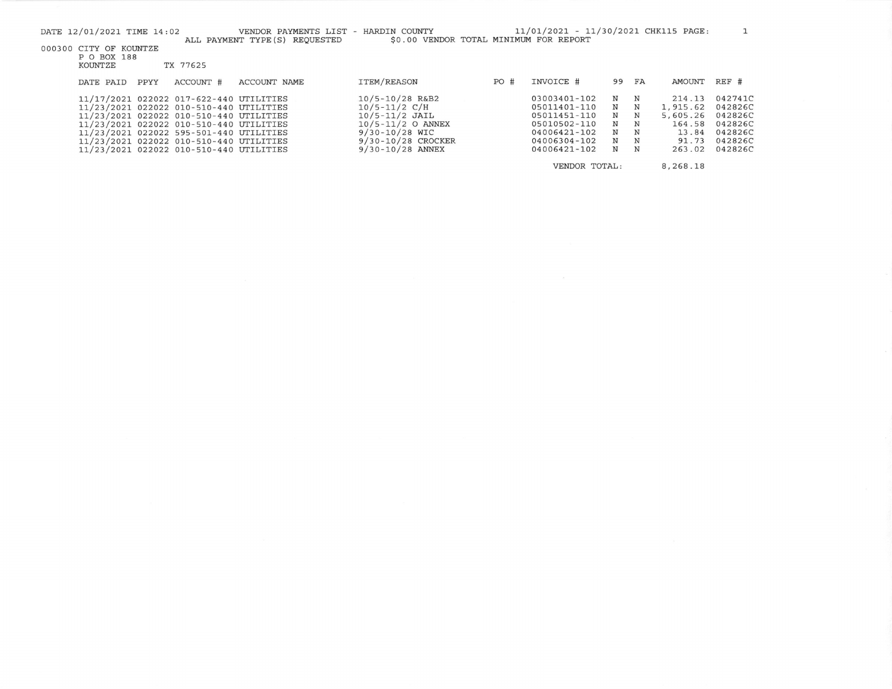|                                       | DATE 12/01/2021 TIME 14:02 |      |                                         | VENDOR PAYMENTS LIST - HARDIN COUNTY<br>ALL PAYMENT TYPE (S) REQUESTED | \$0.00 VENDOR TOTAL MINIMUM FOR REPORT |      | 11/01/2021 - 11/30/2021 CHK115 PAGE: |       |             |          |         |
|---------------------------------------|----------------------------|------|-----------------------------------------|------------------------------------------------------------------------|----------------------------------------|------|--------------------------------------|-------|-------------|----------|---------|
| 000300 CITY OF KOUNTZE<br>P O BOX 188 |                            |      |                                         |                                                                        |                                        |      |                                      |       |             |          |         |
|                                       | KOUNTZE                    |      | TX 77625                                |                                                                        |                                        |      |                                      |       |             |          |         |
|                                       | DATE PAID                  | PPYY | ACCOUNT #                               | ACCOUNT NAME                                                           | <b>ITEM/REASON</b>                     | PO # | INVOICE #                            | 99 FA |             | AMOUNT   | REF #   |
|                                       |                            |      | 11/17/2021 022022 017-622-440 UTILITIES |                                                                        | $10/5 - 10/28$ R&B2                    |      | 03003401-102                         | N     | $\mathbf N$ | 214.13   | 042741C |
|                                       |                            |      | 11/23/2021 022022 010-510-440 UTILITIES |                                                                        | $10/5 - 11/2$ C/H                      |      | 05011401-110                         | N     | N           | 1,915.62 | 042826C |
|                                       |                            |      | 11/23/2021 022022 010-510-440 UTILITIES |                                                                        | $10/5 - 11/2$ JAIL                     |      | 05011451-110                         | N     | N           | 5,605.26 | 042826C |
|                                       |                            |      | 11/23/2021 022022 010-510-440 UTILITIES |                                                                        | $10/5 - 11/2$ O ANNEX                  |      | 05010502-110                         | N     | $\mathbf N$ | 164.58   | 042826C |
|                                       |                            |      | 11/23/2021 022022 595-501-440 UTILITIES |                                                                        | $9/30 - 10/28$ WIC                     |      | 04006421-102                         | N     | N           | 13.84    | 042826C |
|                                       |                            |      | 11/23/2021 022022 010-510-440 UTILITIES |                                                                        | 9/30-10/28 CROCKER                     |      | 04006304-102                         | N     | N           | 91.73    | 042826C |
|                                       |                            |      | 11/23/2021 022022 010-510-440 UTILITIES |                                                                        | 9/30-10/28 ANNEX                       |      | 04006421-102                         | N     | N           | 263.02   | 042826C |
|                                       |                            |      |                                         |                                                                        |                                        |      | VENDOR TOTAL:                        |       |             | 8,268.18 |         |